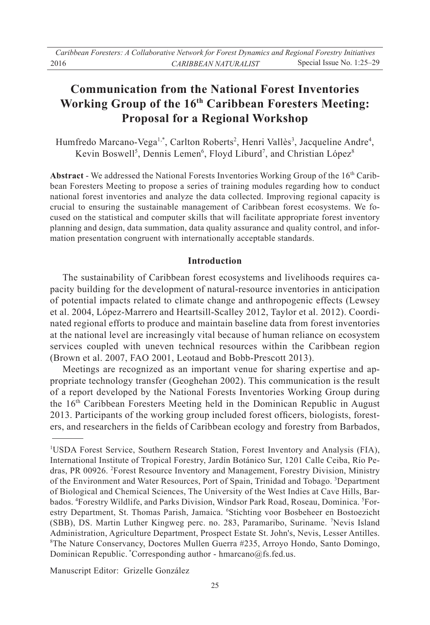# **Communication from the National Forest Inventories Working Group of the 16th Caribbean Foresters Meeting: Proposal for a Regional Workshop**

Humfredo Marcano-Vega<sup>1,\*</sup>, Carlton Roberts<sup>2</sup>, Henri Vallès<sup>3</sup>, Jacqueline Andre<sup>4</sup>, Kevin Boswell<sup>5</sup>, Dennis Lemen<sup>6</sup>, Floyd Liburd<sup>7</sup>, and Christian López<sup>8</sup>

**Abstract** - We addressed the National Forests Inventories Working Group of the 16<sup>th</sup> Caribbean Foresters Meeting to propose a series of training modules regarding how to conduct national forest inventories and analyze the data collected. Improving regional capacity is crucial to ensuring the sustainable management of Caribbean forest ecosystems. We focused on the statistical and computer skills that will facilitate appropriate forest inventory planning and design, data summation, data quality assurance and quality control, and information presentation congruent with internationally acceptable standards.

### **Introduction**

 The sustainability of Caribbean forest ecosystems and livelihoods requires capacity building for the development of natural-resource inventories in anticipation of potential impacts related to climate change and anthropogenic effects (Lewsey et al. 2004, López-Marrero and Heartsill-Scalley 2012, Taylor et al. 2012). Coordinated regional efforts to produce and maintain baseline data from forest inventories at the national level are increasingly vital because of human reliance on ecosystem services coupled with uneven technical resources within the Caribbean region (Brown et al. 2007, FAO 2001, Leotaud and Bobb-Prescott 2013).

 Meetings are recognized as an important venue for sharing expertise and appropriate technology transfer (Geoghehan 2002). This communication is the result of a report developed by the National Forests Inventories Working Group during the 16th Caribbean Foresters Meeting held in the Dominican Republic in August 2013. Participants of the working group included forest officers, biologists, foresters, and researchers in the fields of Caribbean ecology and forestry from Barbados,

Manuscript Editor: Grizelle González

<sup>&</sup>lt;sup>1</sup>USDA Forest Service, Southern Research Station, Forest Inventory and Analysis (FIA), International Institute of Tropical Forestry, Jardín Botánico Sur, 1201 Calle Ceiba, Río Pedras, PR 00926. <sup>2</sup>Forest Resource Inventory and Management, Forestry Division, Ministry of the Environment and Water Resources, Port of Spain, Trinidad and Tobago. <sup>3</sup>Department of Biological and Chemical Sciences, The University of the West Indies at Cave Hills, Barbados. <sup>4</sup>Forestry Wildlife, and Parks Division, Windsor Park Road, Roseau, Dominica. <sup>5</sup>Forestry Department, St. Thomas Parish, Jamaica. <sup>6</sup>Stichting voor Bosbeheer en Bostoezicht (SBB), DS. Martin Luther Kingweg perc. no. 283, Paramaribo, Suriname. 7 Nevis Island Administration, Agriculture Department, Prospect Estate St. John's, Nevis, Lesser Antilles. 8 The Nature Conservancy, Doctores Mullen Guerra #235, Arroyo Hondo, Santo Domingo, Dominican Republic.  $\text{Corresponding author - hmarcano}(\partial \Omega)$  fs. fed.us.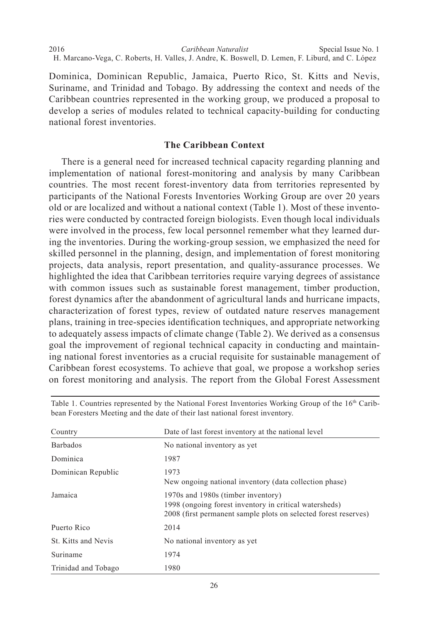*Caribbean Naturalist* 2016 Special Issue No. 1 H. Marcano-Vega, C. Roberts, H. Valles, J. Andre, K. Boswell, D. Lemen, F. Liburd, and C. López

Dominica, Dominican Republic, Jamaica, Puerto Rico, St. Kitts and Nevis, Suriname, and Trinidad and Tobago. By addressing the context and needs of the Caribbean countries represented in the working group, we produced a proposal to develop a series of modules related to technical capacity-building for conducting national forest inventories.

### **The Caribbean Context**

 There is a general need for increased technical capacity regarding planning and implementation of national forest-monitoring and analysis by many Caribbean countries. The most recent forest-inventory data from territories represented by participants of the National Forests Inventories Working Group are over 20 years old or are localized and without a national context (Table 1). Most of these inventories were conducted by contracted foreign biologists. Even though local individuals were involved in the process, few local personnel remember what they learned during the inventories. During the working-group session, we emphasized the need for skilled personnel in the planning, design, and implementation of forest monitoring projects, data analysis, report presentation, and quality-assurance processes. We highlighted the idea that Caribbean territories require varying degrees of assistance with common issues such as sustainable forest management, timber production, forest dynamics after the abandonment of agricultural lands and hurricane impacts, characterization of forest types, review of outdated nature reserves management plans, training in tree-species identification techniques, and appropriate networking to adequately assess impacts of climate change (Table 2). We derived as a consensus goal the improvement of regional technical capacity in conducting and maintaining national forest inventories as a crucial requisite for sustainable management of Caribbean forest ecosystems. To achieve that goal, we propose a workshop series on forest monitoring and analysis. The report from the Global Forest Assessment

| Country             | Date of last forest inventory at the national level                                                                                                             |
|---------------------|-----------------------------------------------------------------------------------------------------------------------------------------------------------------|
| <b>Barbados</b>     | No national inventory as yet                                                                                                                                    |
| Dominica            | 1987                                                                                                                                                            |
| Dominican Republic  | 1973<br>New ongoing national inventory (data collection phase)                                                                                                  |
| Jamaica             | 1970s and 1980s (timber inventory)<br>1998 (ongoing forest inventory in critical watersheds)<br>2008 (first permanent sample plots on selected forest reserves) |
| Puerto Rico         | 2014                                                                                                                                                            |
| St. Kitts and Nevis | No national inventory as yet                                                                                                                                    |
| Suriname            | 1974                                                                                                                                                            |
| Trinidad and Tobago | 1980                                                                                                                                                            |

Table 1. Countries represented by the National Forest Inventories Working Group of the  $16<sup>th</sup>$  Caribbean Foresters Meeting and the date of their last national forest inventory.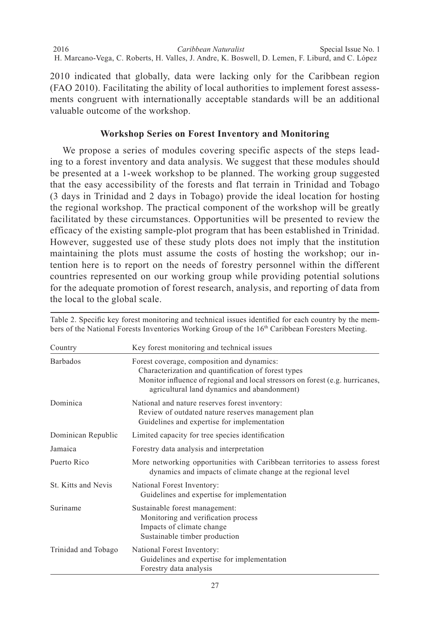*Caribbean Naturalist* 2016 Special Issue No. 1 H. Marcano-Vega, C. Roberts, H. Valles, J. Andre, K. Boswell, D. Lemen, F. Liburd, and C. López

2010 indicated that globally, data were lacking only for the Caribbean region (FAO 2010). Facilitating the ability of local authorities to implement forest assessments congruent with internationally acceptable standards will be an additional valuable outcome of the workshop.

## **Workshop Series on Forest Inventory and Monitoring**

 We propose a series of modules covering specific aspects of the steps leading to a forest inventory and data analysis. We suggest that these modules should be presented at a 1-week workshop to be planned. The working group suggested that the easy accessibility of the forests and flat terrain in Trinidad and Tobago (3 days in Trinidad and 2 days in Tobago) provide the ideal location for hosting the regional workshop. The practical component of the workshop will be greatly facilitated by these circumstances. Opportunities will be presented to review the efficacy of the existing sample-plot program that has been established in Trinidad. However, suggested use of these study plots does not imply that the institution maintaining the plots must assume the costs of hosting the workshop; our intention here is to report on the needs of forestry personnel within the different countries represented on our working group while providing potential solutions for the adequate promotion of forest research, analysis, and reporting of data from the local to the global scale.

| Country             | Key forest monitoring and technical issues                                                                                                                                                                                        |
|---------------------|-----------------------------------------------------------------------------------------------------------------------------------------------------------------------------------------------------------------------------------|
| <b>Barbados</b>     | Forest coverage, composition and dynamics:<br>Characterization and quantification of forest types<br>Monitor influence of regional and local stressors on forest (e.g. hurricanes,<br>agricultural land dynamics and abandonment) |
| Dominica            | National and nature reserves forest inventory:<br>Review of outdated nature reserves management plan<br>Guidelines and expertise for implementation                                                                               |
| Dominican Republic  | Limited capacity for tree species identification                                                                                                                                                                                  |
| Jamaica             | Forestry data analysis and interpretation                                                                                                                                                                                         |
| Puerto Rico         | More networking opportunities with Caribbean territories to assess forest<br>dynamics and impacts of climate change at the regional level                                                                                         |
| St. Kitts and Nevis | National Forest Inventory:<br>Guidelines and expertise for implementation                                                                                                                                                         |
| Suriname            | Sustainable forest management:<br>Monitoring and verification process<br>Impacts of climate change<br>Sustainable timber production                                                                                               |
| Trinidad and Tobago | National Forest Inventory:<br>Guidelines and expertise for implementation<br>Forestry data analysis                                                                                                                               |

Table 2. Specific key forest monitoring and technical issues identified for each country by the members of the National Forests Inventories Working Group of the 16<sup>th</sup> Caribbean Foresters Meeting.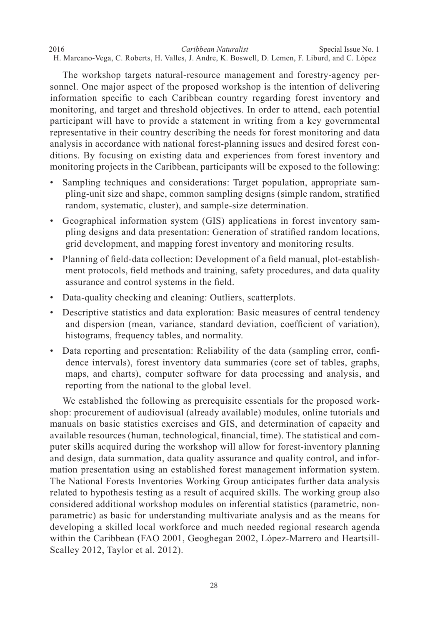*Caribbean Naturalist* H. Marcano-Vega, C. Roberts, H. Valles, J. Andre, K. Boswell, D. Lemen, F. Liburd, and C. López 2016 **2016** 2016 **Special Issue No. 1** Special Issue No. 1

 The workshop targets natural-resource management and forestry-agency personnel. One major aspect of the proposed workshop is the intention of delivering information specific to each Caribbean country regarding forest inventory and monitoring, and target and threshold objectives. In order to attend, each potential participant will have to provide a statement in writing from a key governmental representative in their country describing the needs for forest monitoring and data analysis in accordance with national forest-planning issues and desired forest conditions. By focusing on existing data and experiences from forest inventory and monitoring projects in the Caribbean, participants will be exposed to the following:

- Sampling techniques and considerations: Target population, appropriate sampling-unit size and shape, common sampling designs (simple random, stratified random, systematic, cluster), and sample-size determination.
- Geographical information system (GIS) applications in forest inventory sampling designs and data presentation: Generation of stratified random locations, grid development, and mapping forest inventory and monitoring results.
- Planning of field-data collection: Development of a field manual, plot-establishment protocols, field methods and training, safety procedures, and data quality assurance and control systems in the field.
- Data-quality checking and cleaning: Outliers, scatterplots.
- Descriptive statistics and data exploration: Basic measures of central tendency and dispersion (mean, variance, standard deviation, coefficient of variation), histograms, frequency tables, and normality.
- Data reporting and presentation: Reliability of the data (sampling error, confidence intervals), forest inventory data summaries (core set of tables, graphs, maps, and charts), computer software for data processing and analysis, and reporting from the national to the global level.

 We established the following as prerequisite essentials for the proposed workshop: procurement of audiovisual (already available) modules, online tutorials and manuals on basic statistics exercises and GIS, and determination of capacity and available resources (human, technological, financial, time). The statistical and computer skills acquired during the workshop will allow for forest-inventory planning and design, data summation, data quality assurance and quality control, and information presentation using an established forest management information system. The National Forests Inventories Working Group anticipates further data analysis related to hypothesis testing as a result of acquired skills. The working group also considered additional workshop modules on inferential statistics (parametric, nonparametric) as basic for understanding multivariate analysis and as the means for developing a skilled local workforce and much needed regional research agenda within the Caribbean (FAO 2001, Geoghegan 2002, López-Marrero and Heartsill-Scalley 2012, Taylor et al. 2012).